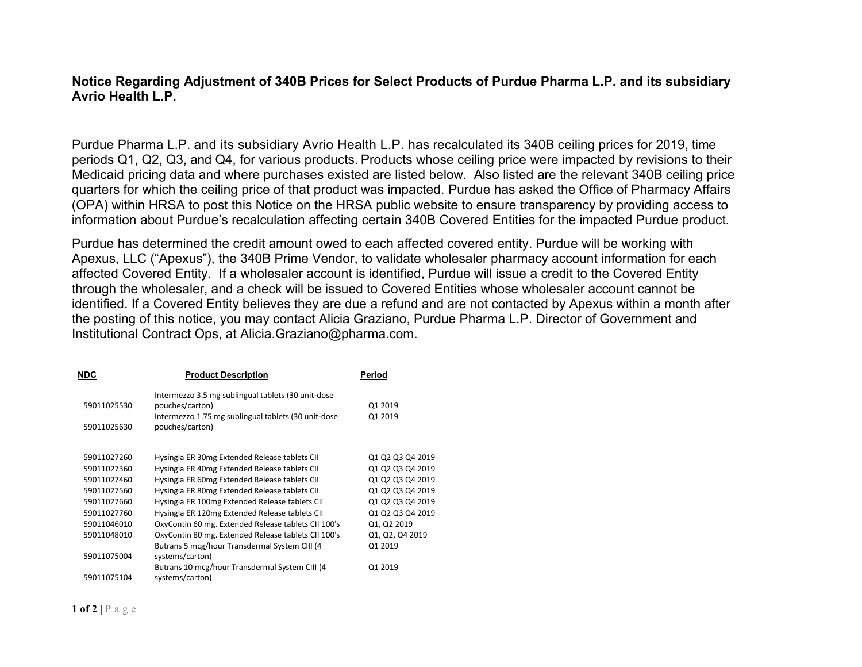## **Notice Regarding Adjustment of 340B Prices for Select Products of Purdue Pharma L.P. and its subsidiary Avrio Health L.P.**

Purdue Pharma L.P. and its subsidiary Avrio Health L.P. has recalculated its 340B ceiling prices for 2019, time periods Q1, Q2, Q3, and Q4, for various products. Products whose ceiling price were impacted by revisions to their Medicaid pricing data and where purchases existed are listed below. Also listed are the relevant 340B ceiling price quarters for which the ceiling price of that product was impacted. Purdue has asked the Office of Pharmacy Affairs (OPA) within HRSA to post this Notice on the HRSA public website to ensure transparency by providing access to information about Purdue's recalculation affecting certain 340B Covered Entities for the impacted Purdue product.

Purdue has determined the credit amount owed to each affected covered entity. Purdue will be working with Apexus, LLC ("Apexus"), the 340B Prime Vendor, to validate wholesaler pharmacy account information for each affected Covered Entity. If a wholesaler account is identified, Purdue will issue a credit to the Covered Entity through the wholesaler, and a check will be issued to Covered Entities whose wholesaler account cannot be identified. If a Covered Entity believes they are due a refund and are not contacted by Apexus within a month after the posting of this notice, you may contact Alicia Graziano, Purdue Pharma L.P. Director of Government and Institutional Contract Ops, at [Alicia.Graziano@pharma.com.](mailto:Alicia.Graziano@pharma.com)

| <b>NDC</b>  | <b>Product Description</b>                          | Period           |
|-------------|-----------------------------------------------------|------------------|
|             | Intermezzo 3.5 mg sublingual tablets (30 unit-dose  |                  |
| 59011025530 | pouches/carton)                                     | Q1 2019          |
|             | Intermezzo 1.75 mg sublingual tablets (30 unit-dose | Q1 2019          |
| 59011025630 | pouches/carton)                                     |                  |
|             |                                                     |                  |
| 59011027260 | Hysingla ER 30mg Extended Release tablets CII       | Q1 Q2 Q3 Q4 2019 |
| 59011027360 | Hysingla ER 40mg Extended Release tablets CII       | Q1 Q2 Q3 Q4 2019 |
| 59011027460 | Hysingla ER 60mg Extended Release tablets CII       | Q1 Q2 Q3 Q4 2019 |
| 59011027560 | Hysingla ER 80mg Extended Release tablets CII       | Q1 Q2 Q3 Q4 2019 |
| 59011027660 | Hysingla ER 100mg Extended Release tablets CII      | Q1 Q2 Q3 Q4 2019 |
| 59011027760 | Hysingla ER 120mg Extended Release tablets CII      | Q1 Q2 Q3 Q4 2019 |
| 59011046010 | OxyContin 60 mg. Extended Release tablets CII 100's | Q1, Q2 2019      |
| 59011048010 | OxyContin 80 mg. Extended Release tablets CII 100's | Q1, Q2, Q4 2019  |
|             | Butrans 5 mcg/hour Transdermal System CIII (4       | Q1 2019          |
| 59011075004 | systems/carton)                                     |                  |
|             | Butrans 10 mcg/hour Transdermal System CIII (4      | Q1 2019          |
| 59011075104 | systems/carton)                                     |                  |